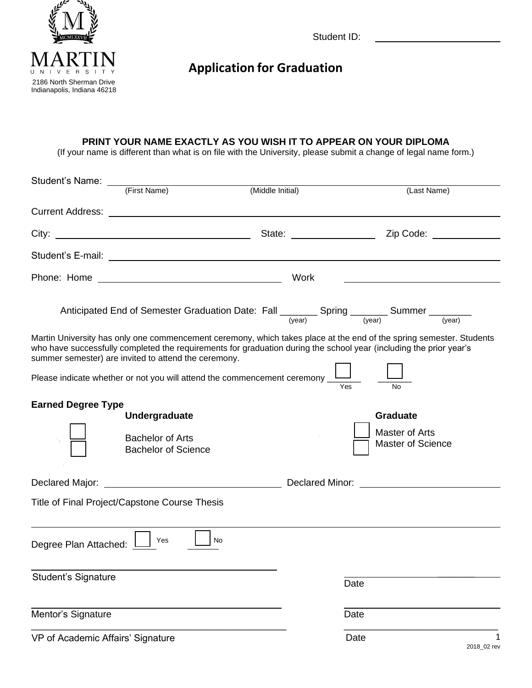

Student ID:

## **Application for Graduation**

## **PRINT YOUR NAME EXACTLY AS YOU WISH IT TO APPEAR ON YOUR DIPLOMA**

(If your name is different than what is on file with the University, please submit a change of legal name form.)

|                                   |                                                                                                                                                                                                                                                                                    | (Middle Initial) |      | (Last Name)                                                                                                         |
|-----------------------------------|------------------------------------------------------------------------------------------------------------------------------------------------------------------------------------------------------------------------------------------------------------------------------------|------------------|------|---------------------------------------------------------------------------------------------------------------------|
|                                   | Current Address: <u>Current Address:</u> Current Address: 2004                                                                                                                                                                                                                     |                  |      |                                                                                                                     |
|                                   | City:                                                                                                                                                                                                                                                                              |                  |      | State: <u>Charles Contains and Zip Code:</u> Contains 2014                                                          |
|                                   |                                                                                                                                                                                                                                                                                    |                  |      |                                                                                                                     |
|                                   |                                                                                                                                                                                                                                                                                    | Work             |      | <u> 1989 - Johann Barbara, martxa alemaniar arg</u>                                                                 |
|                                   | Anticipated End of Semester Graduation Date: Fall $\frac{1}{(year)}$ Spring $\frac{1}{(year)}$ Summer $\frac{1}{(year)}$                                                                                                                                                           |                  |      |                                                                                                                     |
|                                   | who have successfully completed the requirements for graduation during the school year (including the prior year's<br>summer semester) are invited to attend the ceremony.<br>Please indicate whether or not you will attend the commencement ceremony ___________________________ |                  |      | Martin University has only one commencement ceremony, which takes place at the end of the spring semester. Students |
| <b>Earned Degree Type</b>         | <b>Undergraduate</b><br><b>Bachelor of Arts</b><br><b>Bachelor of Science</b>                                                                                                                                                                                                      |                  |      | <b>Graduate</b><br>Master of Arts<br><b>Master of Science</b>                                                       |
|                                   | Declared Major: <u>New York: Declared Minor: Neclared Minor: Neclared Minor: Neclared Minor: Neclared Minor: Neclared Minor: Network: Network: Network: Network: Network: Network: Network: Network: Network: Network: Network: </u>                                               |                  |      |                                                                                                                     |
|                                   | Title of Final Project/Capstone Course Thesis                                                                                                                                                                                                                                      |                  |      |                                                                                                                     |
| Degree Plan Attached:             | Yes<br>No.                                                                                                                                                                                                                                                                         |                  |      |                                                                                                                     |
| <b>Student's Signature</b>        |                                                                                                                                                                                                                                                                                    |                  | Date |                                                                                                                     |
| Mentor's Signature                |                                                                                                                                                                                                                                                                                    |                  | Date |                                                                                                                     |
| VP of Academic Affairs' Signature |                                                                                                                                                                                                                                                                                    |                  | Date | 1<br>2018_02 rev                                                                                                    |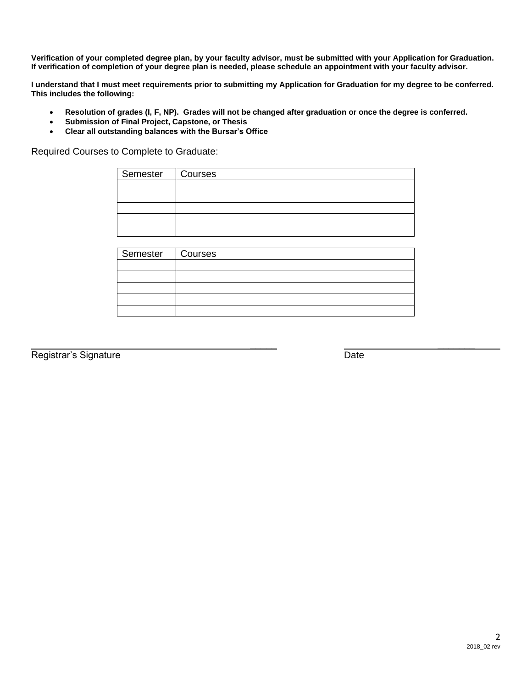**Verification of your completed degree plan, by your faculty advisor, must be submitted with your Application for Graduation. If verification of completion of your degree plan is needed, please schedule an appointment with your faculty advisor.**

**I understand that I must meet requirements prior to submitting my Application for Graduation for my degree to be conferred. This includes the following:**

- **Resolution of grades (I, F, NP). Grades will not be changed after graduation or once the degree is conferred.**
- **Submission of Final Project, Capstone, or Thesis**
- **Clear all outstanding balances with the Bursar's Office**

Required Courses to Complete to Graduate:

| Semester   Courses |  |
|--------------------|--|
|                    |  |
|                    |  |
|                    |  |
|                    |  |
|                    |  |
|                    |  |

| Semester   Courses |  |
|--------------------|--|
|                    |  |
|                    |  |
|                    |  |
|                    |  |
|                    |  |

Registrar's Signature Date

\_\_\_\_\_ \_\_\_\_\_\_\_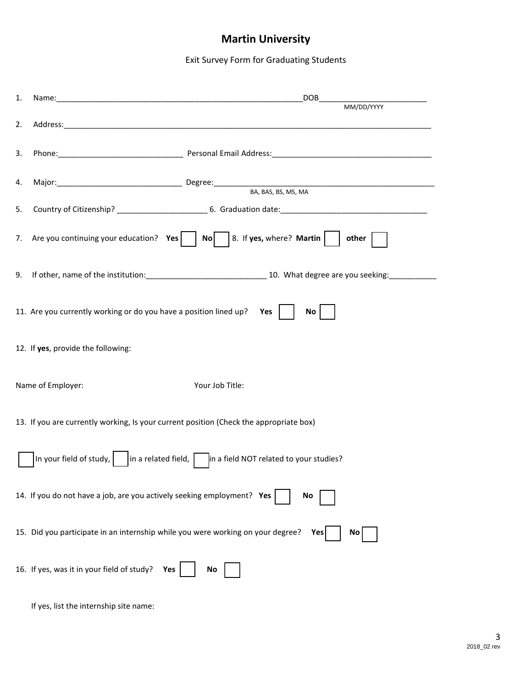## **Martin University**

Exit Survey Form for Graduating Students

| 1. |                                                                                        | DOB <sub>1</sub><br>MM/DD/YYYY                                                                                 |
|----|----------------------------------------------------------------------------------------|----------------------------------------------------------------------------------------------------------------|
| 2. |                                                                                        |                                                                                                                |
| 3. |                                                                                        |                                                                                                                |
| 4. |                                                                                        | Major: Major: Major: Major: Major: Major: Major: Major: Major: Major: Major: Major: Major: Major: Major: Major |
| 5. |                                                                                        |                                                                                                                |
| 7. |                                                                                        | Are you continuing your education? $Yes \mid \mid No \mid \mid 8$ . If yes, where? Martin $\mid \mid$<br>other |
| 9. |                                                                                        |                                                                                                                |
|    | 11. Are you currently working or do you have a position lined up?                      | Yes $ $<br>No                                                                                                  |
|    | 12. If yes, provide the following:                                                     |                                                                                                                |
|    | Name of Employer:                                                                      | Your Job Title:                                                                                                |
|    | 13. If you are currently working, Is your current position (Check the appropriate box) |                                                                                                                |
|    |                                                                                        | $\vert$ In your field of study, $\vert$ in a related field, $\vert$ in a field NOT related to your studies?    |
|    | 14. If you do not have a job, are you actively seeking employment? Yes                 | No                                                                                                             |
|    | 15. Did you participate in an internship while you were working on your degree?        | Yes<br>Νo                                                                                                      |
|    | 16. If yes, was it in your field of study?<br>Yes                                      | No.                                                                                                            |
|    | If yes, list the internship site name:                                                 |                                                                                                                |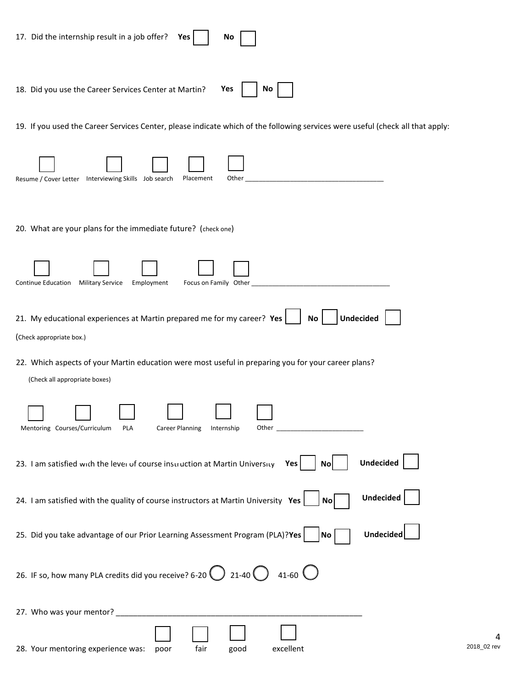| 17. Did the internship result in a job offer?<br>Yes<br>No                                                                           |
|--------------------------------------------------------------------------------------------------------------------------------------|
| Yes<br>18. Did you use the Career Services Center at Martin?<br>No.                                                                  |
| 19. If you used the Career Services Center, please indicate which of the following services were useful (check all that apply:       |
| Resume / Cover Letter  Interviewing Skills  Job search<br>Placement<br>Other                                                         |
| 20. What are your plans for the immediate future? (check one)                                                                        |
| <b>Military Service</b><br>Continue Education<br>Employment<br>Focus on Family Other                                                 |
| 21. My educational experiences at Martin prepared me for my career? Yes<br><b>Undecided</b><br>No                                    |
| (Check appropriate box.)                                                                                                             |
| 22. Which aspects of your Martin education were most useful in preparing you for your career plans?<br>(Check all appropriate boxes) |
| Mentoring Courses/Curriculum<br>PLA<br>Career Planning<br>Internship                                                                 |
| <b>Undecided</b><br>23. I am satisfied with the lever of course instruction at Martin University Yes<br><b>No</b>                    |
| <b>Undecided</b><br>24. I am satisfied with the quality of course instructors at Martin University Yes<br>No <sub>l</sub>            |
| Undecided<br>25. Did you take advantage of our Prior Learning Assessment Program (PLA)?Yes<br>$\overline{N_{0}}$                     |
| 26. IF so, how many PLA credits did you receive? 6-20 $\bigcirc$ 21-40 $\bigcirc$ 41-60 $\bigcirc$                                   |
|                                                                                                                                      |
| 28. Your mentoring experience was:<br>excellent<br>fair<br>poor<br>good                                                              |